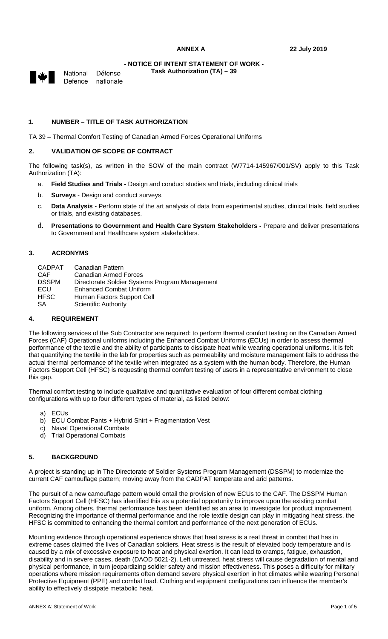**Task Authorization (TA) – 39** 



National Défense Defence nationale

# **1. NUMBER – TITLE OF TASK AUTHORIZATION**

TA 39 – Thermal Comfort Testing of Canadian Armed Forces Operational Uniforms

## **2. VALIDATION OF SCOPE OF CONTRACT**

The following task(s), as written in the SOW of the main contract (W7714-145967/001/SV) apply to this Task Authorization (TA):

- a. **Field Studies and Trials** Design and conduct studies and trials, including clinical trials
- b. **Surveys** Design and conduct surveys.
- c. **Data Analysis** Perform state of the art analysis of data from experimental studies, clinical trials, field studies or trials, and existing databases.
- d. **Presentations to Government and Health Care System Stakeholders** Prepare and deliver presentations to Government and Healthcare system stakeholders.

## **3. ACRONYMS**

| <b>CADPAT</b> | Canadian Pattern                               |
|---------------|------------------------------------------------|
| CAF           | Canadian Armed Forces                          |
| <b>DSSPM</b>  | Directorate Soldier Systems Program Management |
| ECU           | Enhanced Combat Uniform                        |
| <b>HFSC</b>   | Human Factors Support Cell                     |
| <b>SA</b>     | <b>Scientific Authority</b>                    |

# **4. REQUIREMENT**

The following services of the Sub Contractor are required: to perform thermal comfort testing on the Canadian Armed Forces (CAF) Operational uniforms including the Enhanced Combat Uniforms (ECUs) in order to assess thermal performance of the textile and the ability of participants to dissipate heat while wearing operational uniforms. It is felt that quantifying the textile in the lab for properties such as permeability and moisture management fails to address the actual thermal performance of the textile when integrated as a system with the human body. Therefore, the Human Factors Support Cell (HFSC) is requesting thermal comfort testing of users in a representative environment to close this gap.

Thermal comfort testing to include qualitative and quantitative evaluation of four different combat clothing configurations with up to four different types of material, as listed below:

- a) ECUs
- b) ECU Combat Pants + Hybrid Shirt + Fragmentation Vest
- c) Naval Operational Combats
- d) Trial Operational Combats

#### **5. BACKGROUND**

A project is standing up in The Directorate of Soldier Systems Program Management (DSSPM) to modernize the current CAF camouflage pattern; moving away from the CADPAT temperate and arid patterns.

The pursuit of a new camouflage pattern would entail the provision of new ECUs to the CAF. The DSSPM Human Factors Support Cell (HFSC) has identified this as a potential opportunity to improve upon the existing combat uniform. Among others, thermal performance has been identified as an area to investigate for product improvement. Recognizing the importance of thermal performance and the role textile design can play in mitigating heat stress, the HFSC is committed to enhancing the thermal comfort and performance of the next generation of ECUs.

Mounting evidence through operational experience shows that heat stress is a real threat in combat that has in extreme cases claimed the lives of Canadian soldiers. Heat stress is the result of elevated body temperature and is caused by a mix of excessive exposure to heat and physical exertion. It can lead to cramps, fatigue, exhaustion, disability and in severe cases, death (DAOD 5021-2). Left untreated, heat stress will cause degradation of mental and physical performance, in turn jeopardizing soldier safety and mission effectiveness. This poses a difficulty for military operations where mission requirements often demand severe physical exertion in hot climates while wearing Personal Protective Equipment (PPE) and combat load. Clothing and equipment configurations can influence the member's ability to effectively dissipate metabolic heat.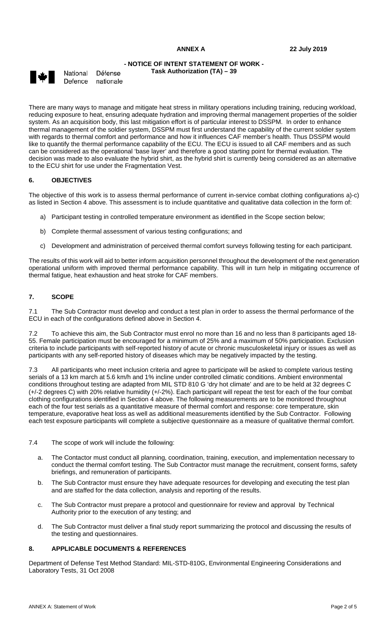**Task Authorization (TA) – 39** 



National Défense Defence nationale

There are many ways to manage and mitigate heat stress in military operations including training, reducing workload, reducing exposure to heat, ensuring adequate hydration and improving thermal management properties of the soldier system. As an acquisition body, this last mitigation effort is of particular interest to DSSPM. In order to enhance thermal management of the soldier system, DSSPM must first understand the capability of the current soldier system with regards to thermal comfort and performance and how it influences CAF member's health. Thus DSSPM would like to quantify the thermal performance capability of the ECU. The ECU is issued to all CAF members and as such can be considered as the operational 'base layer' and therefore a good starting point for thermal evaluation. The decision was made to also evaluate the hybrid shirt, as the hybrid shirt is currently being considered as an alternative to the ECU shirt for use under the Fragmentation Vest.

## **6. OBJECTIVES**

The objective of this work is to assess thermal performance of current in-service combat clothing configurations a)-c) as listed in Section 4 above. This assessment is to include quantitative and qualitative data collection in the form of:

- a) Participant testing in controlled temperature environment as identified in the Scope section below;
- b) Complete thermal assessment of various testing configurations; and
- c) Development and administration of perceived thermal comfort surveys following testing for each participant.

The results of this work will aid to better inform acquisition personnel throughout the development of the next generation operational uniform with improved thermal performance capability. This will in turn help in mitigating occurrence of thermal fatigue, heat exhaustion and heat stroke for CAF members.

## **7. SCOPE**

7.1 The Sub Contractor must develop and conduct a test plan in order to assess the thermal performance of the ECU in each of the configurations defined above in Section 4.

7.2 To achieve this aim, the Sub Contractor must enrol no more than 16 and no less than 8 participants aged 18- 55. Female participation must be encouraged for a minimum of 25% and a maximum of 50% participation. Exclusion criteria to include participants with self-reported history of acute or chronic musculoskeletal injury or issues as well as participants with any self-reported history of diseases which may be negatively impacted by the testing.

7.3 All participants who meet inclusion criteria and agree to participate will be asked to complete various testing serials of a 13 km march at 5.6 km/h and 1% incline under controlled climatic conditions. Ambient environmental conditions throughout testing are adapted from MIL STD 810 G 'dry hot climate' and are to be held at 32 degrees C (+/-2 degrees C) with 20% relative humidity (+/-2%). Each participant will repeat the test for each of the four combat clothing configurations identified in Section 4 above. The following measurements are to be monitored throughout each of the four test serials as a quantitative measure of thermal comfort and response: core temperature, skin temperature, evaporative heat loss as well as additional measurements identified by the Sub Contractor. Following each test exposure participants will complete a subjective questionnaire as a measure of qualitative thermal comfort.

- 7.4 The scope of work will include the following:
	- a. The Contactor must conduct all planning, coordination, training, execution, and implementation necessary to conduct the thermal comfort testing. The Sub Contractor must manage the recruitment, consent forms, safety briefings, and remuneration of participants.
	- b. The Sub Contractor must ensure they have adequate resources for developing and executing the test plan and are staffed for the data collection, analysis and reporting of the results.
	- c. The Sub Contractor must prepare a protocol and questionnaire for review and approval by Technical Authority prior to the execution of any testing; and
	- d. The Sub Contractor must deliver a final study report summarizing the protocol and discussing the results of the testing and questionnaires.

# **8. APPLICABLE DOCUMENTS & REFERENCES**

Department of Defense Test Method Standard: MIL-STD-810G, Environmental Engineering Considerations and Laboratory Tests, 31 Oct 2008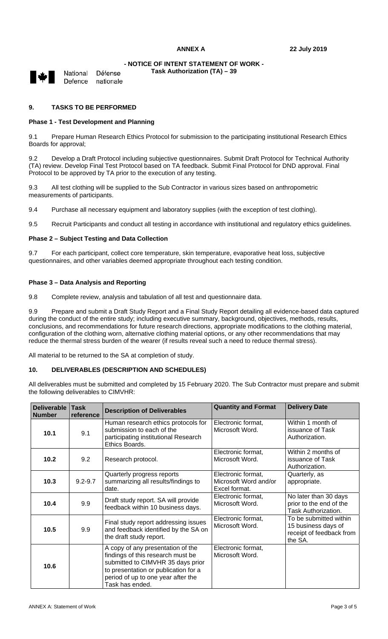**Task Authorization (TA) – 39** 

National

Défense Defence nationale

## **9. TASKS TO BE PERFORMED**

## **Phase 1 - Test Development and Planning**

9.1 Prepare Human Research Ethics Protocol for submission to the participating institutional Research Ethics Boards for approval;

9.2 Develop a Draft Protocol including subjective questionnaires. Submit Draft Protocol for Technical Authority (TA) review. Develop Final Test Protocol based on TA feedback. Submit Final Protocol for DND approval. Final Protocol to be approved by TA prior to the execution of any testing.

9.3 All test clothing will be supplied to the Sub Contractor in various sizes based on anthropometric measurements of participants.

9.4 Purchase all necessary equipment and laboratory supplies (with the exception of test clothing).

9.5 Recruit Participants and conduct all testing in accordance with institutional and regulatory ethics guidelines.

#### **Phase 2 – Subject Testing and Data Collection**

9.7 For each participant, collect core temperature, skin temperature, evaporative heat loss, subjective questionnaires, and other variables deemed appropriate throughout each testing condition.

#### **Phase 3 – Data Analysis and Reporting**

9.8 Complete review, analysis and tabulation of all test and questionnaire data.

9.9 Prepare and submit a Draft Study Report and a Final Study Report detailing all evidence-based data captured during the conduct of the entire study; including executive summary, background, objectives, methods, results, conclusions, and recommendations for future research directions, appropriate modifications to the clothing material, configuration of the clothing worn, alternative clothing material options, or any other recommendations that may reduce the thermal stress burden of the wearer (if results reveal such a need to reduce thermal stress).

All material to be returned to the SA at completion of study.

#### **10. DELIVERABLES (DESCRIPTION AND SCHEDULES)**

All deliverables must be submitted and completed by 15 February 2020. The Sub Contractor must prepare and submit the following deliverables to CIMVHR:

| Deliverable<br><b>Number</b> | <b>Task</b><br>reference | <b>Description of Deliverables</b>                                                                                                                                                                           | <b>Quantity and Format</b>                                   | <b>Delivery Date</b>                                                                 |
|------------------------------|--------------------------|--------------------------------------------------------------------------------------------------------------------------------------------------------------------------------------------------------------|--------------------------------------------------------------|--------------------------------------------------------------------------------------|
| 10.1                         | 9.1                      | Human research ethics protocols for<br>submission to each of the<br>participating institutional Research<br>Ethics Boards.                                                                                   | Electronic format,<br>Microsoft Word.                        | Within 1 month of<br>issuance of Task<br>Authorization.                              |
| 10.2                         | 9.2                      | Research protocol.                                                                                                                                                                                           | Electronic format,<br>Microsoft Word.                        | Within 2 months of<br>issuance of Task<br>Authorization.                             |
| 10.3                         | $9.2 - 9.7$              | Quarterly progress reports<br>summarizing all results/findings to<br>date.                                                                                                                                   | Electronic format,<br>Microsoft Word and/or<br>Excel format. | Quarterly, as<br>appropriate.                                                        |
| 10.4                         | 9.9                      | Draft study report. SA will provide<br>feedback within 10 business days.                                                                                                                                     | Electronic format,<br>Microsoft Word.                        | No later than 30 days<br>prior to the end of the<br>Task Authorization.              |
| 10.5                         | 9.9                      | Final study report addressing issues<br>and feedback identified by the SA on<br>the draft study report.                                                                                                      | Electronic format,<br>Microsoft Word.                        | To be submitted within<br>15 business days of<br>receipt of feedback from<br>the SA. |
| 10.6                         |                          | A copy of any presentation of the<br>findings of this research must be<br>submitted to CIMVHR 35 days prior<br>to presentation or publication for a<br>period of up to one year after the<br>Task has ended. | Electronic format,<br>Microsoft Word.                        |                                                                                      |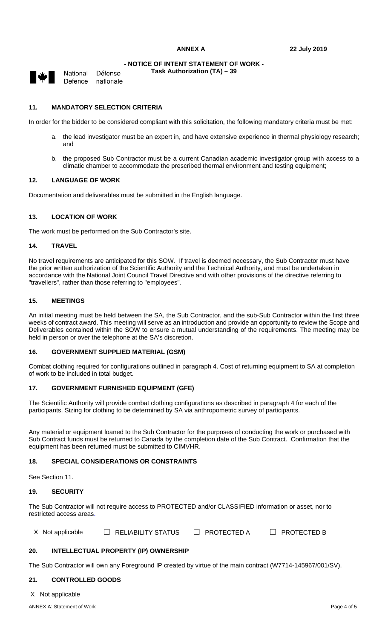**Task Authorization (TA) – 39** 



National Défense Defence nationale

## **11. MANDATORY SELECTION CRITERIA**

In order for the bidder to be considered compliant with this solicitation, the following mandatory criteria must be met:

- a. the lead investigator must be an expert in, and have extensive experience in thermal physiology research; and
- b. the proposed Sub Contractor must be a current Canadian academic investigator group with access to a climatic chamber to accommodate the prescribed thermal environment and testing equipment;

#### **12. LANGUAGE OF WORK**

Documentation and deliverables must be submitted in the English language.

# **13. LOCATION OF WORK**

The work must be performed on the Sub Contractor's site.

#### **14. TRAVEL**

No travel requirements are anticipated for this SOW. If travel is deemed necessary, the Sub Contractor must have the prior written authorization of the Scientific Authority and the Technical Authority, and must be undertaken in accordance with the National Joint Council Travel Directive and with other provisions of the directive referring to "travellers", rather than those referring to "employees".

## **15. MEETINGS**

An initial meeting must be held between the SA, the Sub Contractor, and the sub-Sub Contractor within the first three weeks of contract award. This meeting will serve as an introduction and provide an opportunity to review the Scope and Deliverables contained within the SOW to ensure a mutual understanding of the requirements. The meeting may be held in person or over the telephone at the SA's discretion.

## **16. GOVERNMENT SUPPLIED MATERIAL (GSM)**

Combat clothing required for configurations outlined in paragraph 4. Cost of returning equipment to SA at completion of work to be included in total budget.

# **17. GOVERNMENT FURNISHED EQUIPMENT (GFE)**

The Scientific Authority will provide combat clothing configurations as described in paragraph 4 for each of the participants. Sizing for clothing to be determined by SA via anthropometric survey of participants.

Any material or equipment loaned to the Sub Contractor for the purposes of conducting the work or purchased with Sub Contract funds must be returned to Canada by the completion date of the Sub Contract. Confirmation that the equipment has been returned must be submitted to CIMVHR.

#### **18. SPECIAL CONSIDERATIONS OR CONSTRAINTS**

See Section 11.

#### **19. SECURITY**

The Sub Contractor will not require access to PROTECTED and/or CLASSIFIED information or asset, nor to restricted access areas.

X Not applicable  $\Box$  RELIABILITY STATUS  $\Box$  PROTECTED A  $\Box$  PROTECTED B

# **20. INTELLECTUAL PROPERTY (IP) OWNERSHIP**

The Sub Contractor will own any Foreground IP created by virtue of the main contract (W7714-145967/001/SV).

# **21. CONTROLLED GOODS**

X Not applicable